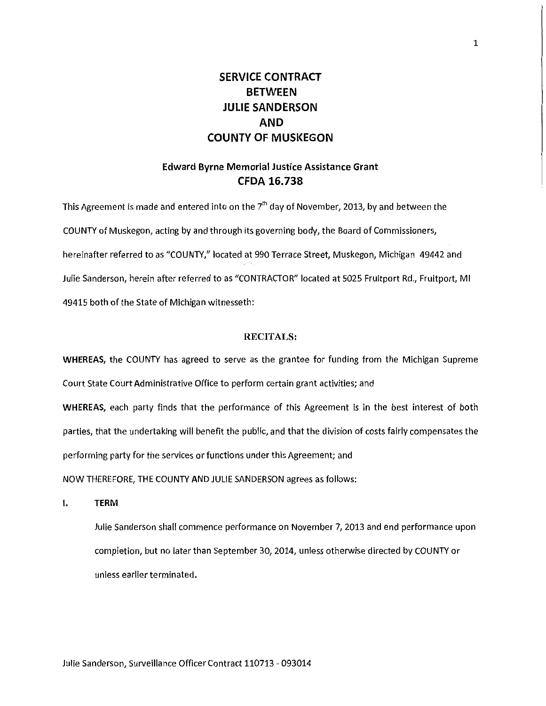# **SERVICE CONTRACT BETWEEN JULIE SANDERSON AND COUNTY OF MUSKEGON**

# **Edward Byrne Memorial Justice Assistance Grant CFDA 16.738**

This Agreement is made and entered into on the 7 $^{\rm th}$  day of November, 2013, by and between the COUNTY of Muskegon, acting by and through its governing body, the Board of Commissioners, hereinafter referred to as "COUNTY," located at 990 Terrace Street, Muskegon, Michigan 49442 and Julie Sanderson, herein after referred to as "CONTRACTOR" located at 5025 Fruitport Rd., Fruitport, Ml 49415 both of the State of Michigan witnesseth:

#### **RECITALS:**

**WHEREAS,** the COUNTY has agreed to serve as the grantee for funding from the Michigan Supreme Court State Court Administrative Office to perform certain grant activities; and

**WHEREAS,** each party finds that the performance of this Agreement is in the best interest of both parties, that the undertaking will benefit the public, and that the division of costs fairly compensates the performing party for the services or functions under this Agreement; and

NOW THEREFORE, THE COUNTY AND JULIE SANDERSON agrees as follows:

**I. TERM** 

Julie Sanderson shall commence performance on November 7, 2013 and end performance upon completion, but no later than September 30, 2014, unless otherwise directed by COUNTY or unless earlier terminated.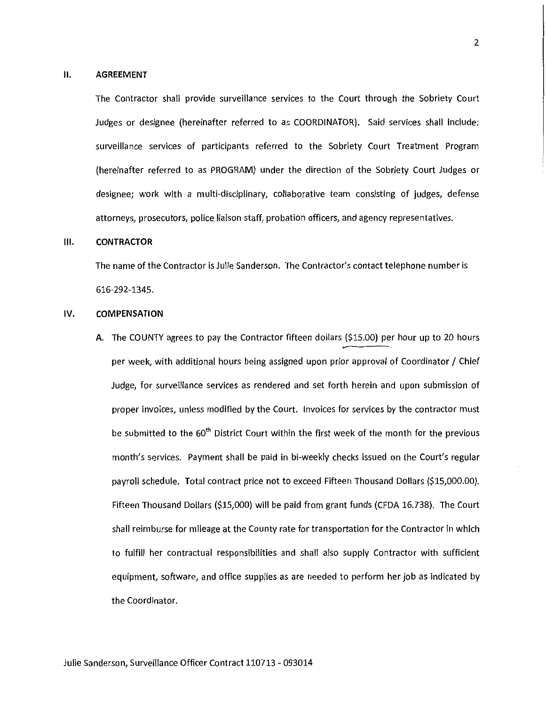#### **II. AGREEMENT**

The Contractor shall provide surveillance services to the Court through the Sobriety Court Judges or designee (hereinafter referred to as COORDINATOR). Said services shall include: surveillance services of participants referred to the Sobriety Court Treatment Program (hereinafter referred to as PROGRAM) under the direction of the Sobriety Court Judges or designee; work with a multi-disciplinary, collaborative team consisting of judges, defense attorneys, prosecutors, police liaison staff, probation officers, and agency representatives.

#### **Ill. CONTRACTOR**

The name of the Contractor is Julie Sanderson. The Contractor's contact telephone number is 616-292-1345.

#### IV. **COMPENSATION**

A. The COUNTY agrees to pay the Contractor fifteen dollars (\$15.00) per hour up to 20 hours per week, with additional hours being assigned upon prior approval of Coordinator / Chief Judge, for surveillance services as rendered and set forth herein and upon submission of proper invoices, unless modified by the Court. Invoices for services by the contractor must be submitted to the 60<sup>th</sup> District Court within the first week of the month for the previous month's services. Payment shall be paid in bi-weekly checks issued on the Court's regular payroll schedule. Total contract price not to exceed Fifteen Thousand Dollars (\$15,000.00). Fifteen Thousand Dollars (\$15,000) will be paid from grant funds (CFDA 16.738). The Court shall reimburse for mileage at the County rate for transportation for the Contractor in which to fulfill her contractual responsibilities and shall also supply Contractor with sufficient equipment, software, and office supplies as are needed to perform her job as indicated by the Coordinator.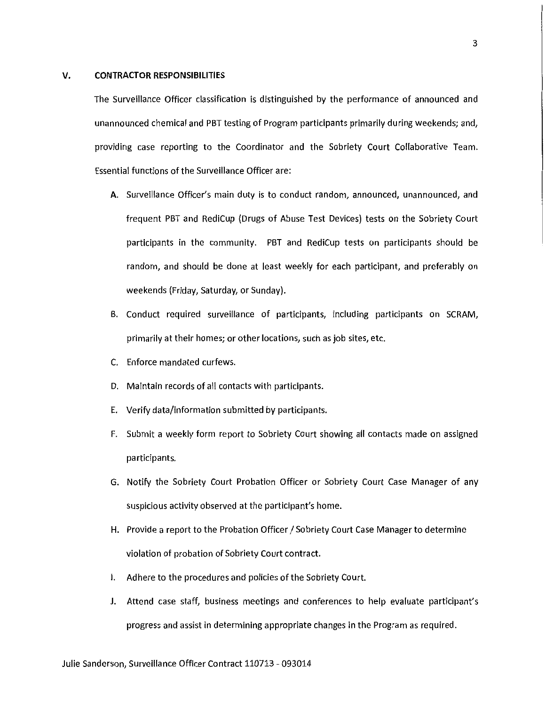#### **V. CONTRACTOR RESPONSIBILITIES**

The Surveillance Officer classification is distinguished by the performance of announced and unannounced chemical and PBT testing of Program participants primarily during weekends; and, providing case reporting to the Coordinator and the Sobriety Court Collaborative Team. Essential functions of the Surveillance Officer are:

- A. Surveillance Officer's main duty is to conduct random, announced, unannounced, and frequent PBT and RediCup {Drugs of Abuse Test Devices) tests on the Sobriety Court participants in the community. PBT and RediCup tests on participants should be random, and should be done at least weekly for each participant, and preferably on weekends (Friday, Saturday, or Sunday).
- B. Conduct required surveillance of participants, including participants on SCRAM, primarily at their homes; or other locations, such as job sites, etc.
- C. Enforce mandated curfews.
- D. Maintain records of all contacts with participants.
- E. Verify data/information submitted by participants.
- F. Submit a weekly form report to Sobriety Court showing all contacts made on assigned participants.
- G. Notify the Sobriety Court Probation Officer or Sobriety Court Case Manager of any suspicious activity observed at the participant's home.
- H. Provide a report to the Probation Officer / Sobriety Court Case Manager to determine violation of probation of Sobriety Court contract.
- I. Adhere to the procedures and policies of the Sobriety Court.
- J. Attend case staff, business meetings and conferences to help evaluate participant's progress and assist in determining appropriate changes in the Program as required.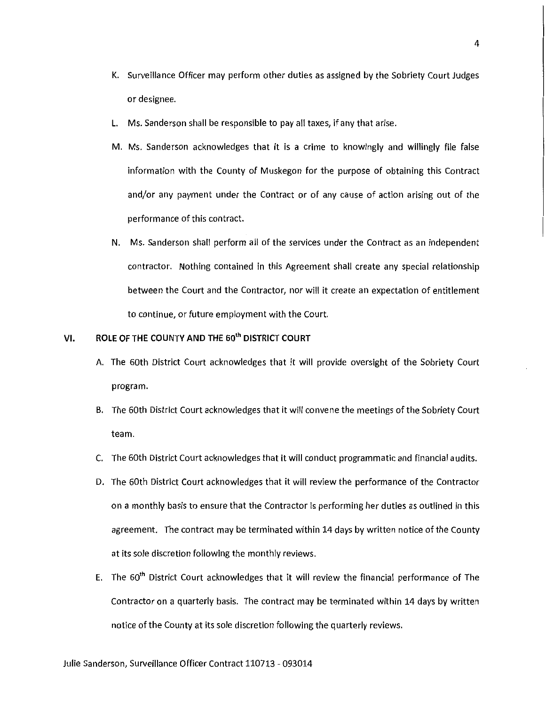- K. Surveillance Officer may perform other duties as assigned by the Sobriety Court Judges or designee.
- L. Ms. Sanderson shall be responsible to pay all taxes, if any that arise.
- M. Ms. Sanderson acknowledges that it is a crime to knowingly and willingly file false information with the County of Muskegon for the purpose of obtaining this Contract and/or any payment under the Contract or of any cause of action arising out of the performance of this contract.
- N. Ms. Sanderson shall perform all of the services under the Contract as an independent contractor. Nothing contained in this Agreement shall create any special relationship between the Court and the Contractor, nor will it create an expectation of entitlement to continue, or future employment with the Court.

## **VI. ROLE OF THE COUNTY AND THE** 60th **DISTRICT COURT**

- A. The 60th District Court acknowledges that it will provide oversight of the Sobriety Court program.
- B. The 60th District Court acknowledges that it will convene the meetings of the Sobriety Court team.
- C. The 60th District Court acknowledges that it will conduct programmatic and financial audits.
- D. The 60th District Court acknowledges that it will review the performance of the Contractor on a monthly basis to ensure that the Contractor is performing her duties as outlined in this agreement. The contract may be terminated within 14 days by written notice of the County at its sole discretion following the monthly reviews.
- E. The 60<sup>th</sup> District Court acknowledges that it will review the financial performance of The Contractor on a quarterly basis. The contract may be terminated within 14 days by written notice of the County at its sole discretion following the quarterly reviews.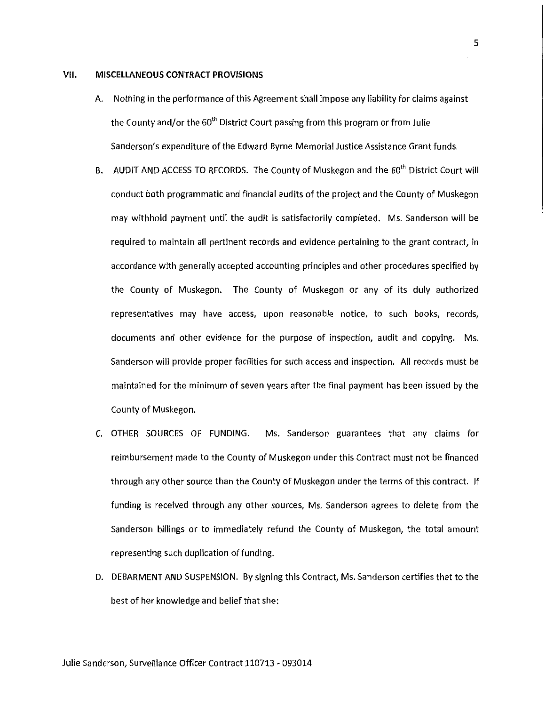#### VII. **MISCELLANEOUS CONTRACT PROVISIONS**

- A. Nothing in the performance of this Agreement shall impose any liability for claims against the County and/or the 60<sup>th</sup> District Court passing from this program or from Julie Sanderson's expenditure of the Edward Byrne Memorial Justice Assistance Grant funds.
- B. AUDIT AND ACCESS TO RECORDS. The County of Muskegon and the 60<sup>th</sup> District Court will conduct both programmatic and financial audits of the project and the County of Muskegon may withhold payment until the audit is satisfactorily completed. Ms. Sanderson will be required to maintain all pertinent records and evidence pertaining to the grant contract, in accordance with generally accepted accounting principles and other procedures specified by the County of Muskegon. The County of Muskegon or any of its duly authorized representatives may have access, upon reasonable notice, to such books, records, documents and other evidence for the purpose of inspection, audit and copying. Ms. Sanderson will provide proper facilities for such access and inspection. All records must be maintained for the minimum of seven years after the final payment has been issued by the County of Muskegon.
- C. OTHER SOURCES OF FUNDING. Ms. Sanderson guarantees that any claims for reimbursement made to the County of Muskegon under this Contract must not be financed through any other source than the County of Muskegon under the terms of this contract. If funding is received through any other sources, Ms. Sanderson agrees to delete from the Sanderson billings or to immediately refund the County of Muskegon, the total amount representing such duplication of funding.
- D. DEBARMENT AND SUSPENSION. By signing this Contract, Ms. Sanderson certifies that to the best of her knowledge and belief that she:

5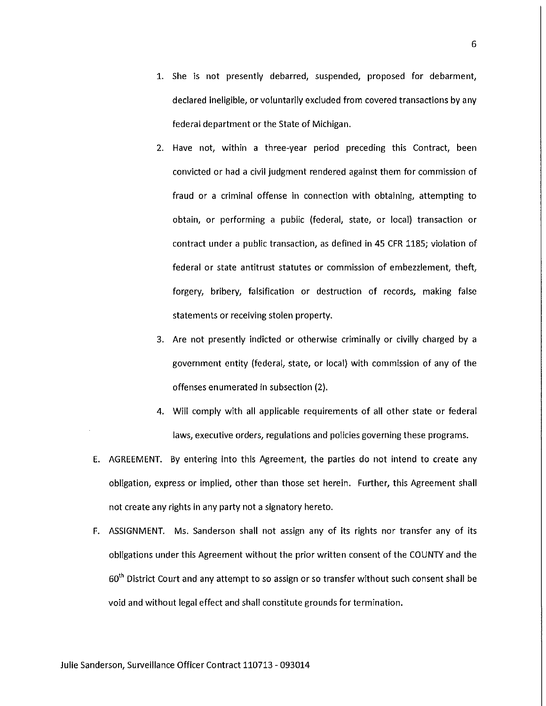- 1. She is not presently debarred, suspended, proposed for debarment, declared ineligible, or voluntarily excluded from covered transactions by any federal department or the State of Michigan.
- 2. Have not, within a three-year period preceding this Contract, been convicted or had a civil judgment rendered against them for commission of fraud or a criminal offense in connection with obtaining, attempting to obtain, or performing a public (federal, state, or local) transaction or contract under a public transaction, as defined in 45 CFR 1185; violation of federal or state antitrust statutes or commission of embezzlement, theft, forgery, bribery, falsification or destruction of records, making false statements or receiving stolen property.
- 3. Are not presently indicted or otherwise criminally or civilly charged by a government entity (federal, state, or local) with commission of any of the offenses enumerated in subsection (2).
- 4. Will comply with all applicable requirements of all other state or federal laws, executive orders, regulations and policies governing these programs.
- E. AGREEMENT. By entering into this Agreement, the parties do not intend to create any obligation, express or implied, other than those set herein. Further, this Agreement shall not create any rights in any party not a signatory hereto.
- F. ASSIGNMENT. Ms. Sanderson shall not assign any of its rights nor transfer any of its obligations under this Agreement without the prior written consent of the COUNTY and the 60<sup>th</sup> District Court and any attempt to so assign or so transfer without such consent shall be void and without legal effect and shall constitute grounds for termination.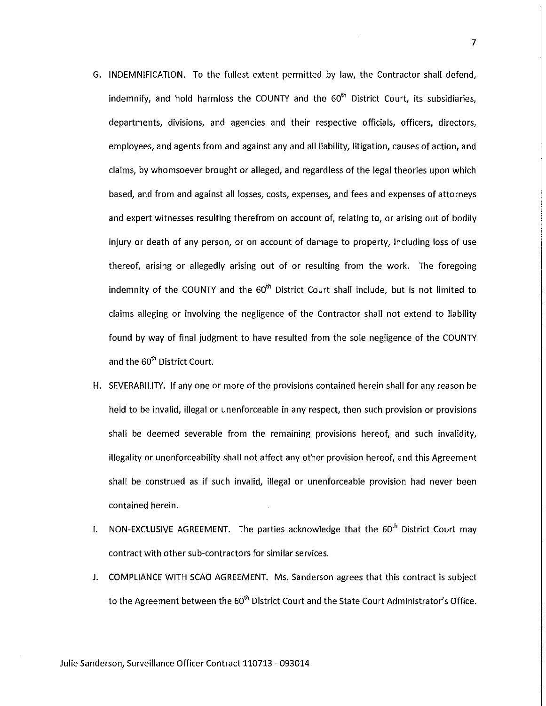- G. INDEMNIFICATION. To the fullest extent permitted by law, the Contractor shall defend, indemnify, and hold harmless the COUNTY and the  $60<sup>th</sup>$  District Court, its subsidiaries, departments, divisions, and agencies and their respective officials, officers, directors, employees, and agents from and against any and all liability, litigation, causes of action, and claims, by whomsoever brought or alleged, and regardless of the legal theories upon which based, and from and against all losses, costs, expenses, and fees and expenses of attorneys and expert witnesses resulting therefrom on account of, relating to, or arising out of bodily injury or death of any person, or on account of damage to property, including loss of use thereof, arising or allegedly arising out of or resulting from the work. The foregoing indemnity of the COUNTY and the 60<sup>th</sup> District Court shall include, but is not limited to claims alleging or involving the negligence of the Contractor shall not extend to liability found by way of final judgment to have resulted from the sole negligence of the COUNTY and the 60<sup>th</sup> District Court.
- H. SEVERABILITY. If any one or more of the provisions contained herein shall for any reason be held to be invalid, illegal or unenforceable in any respect, then such provision or provisions shall be deemed severable from the remaining provisions hereof, and such invalidity, illegality or unenforceability shall not affect any other provision hereof, and this Agreement shall be construed as if such invalid, illegal or unenforceable provision had never been contained herein.
- I. NON-EXCLUSIVE AGREEMENT. The parties acknowledge that the  $60<sup>th</sup>$  District Court may contract with other sub-contractors for similar services.
- J. COMPLIANCE WITH SCAO AGREEMENT. Ms. Sanderson agrees that this contract is subject to the Agreement between the 60<sup>th</sup> District Court and the State Court Administrator's Office.

7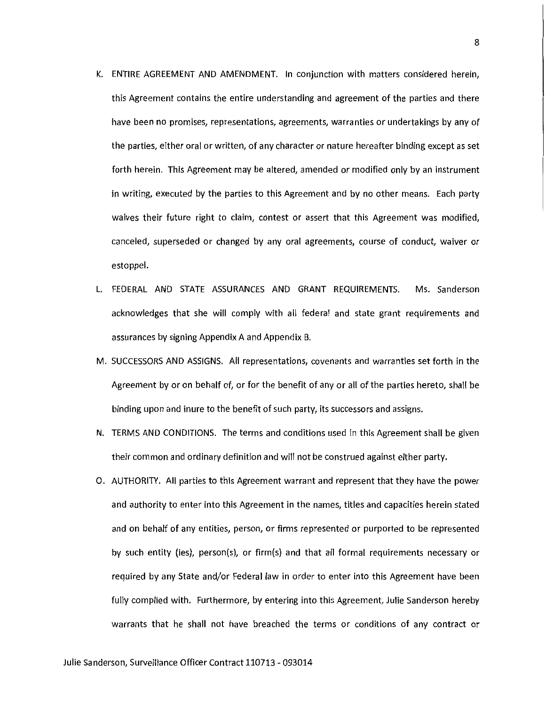- K. ENTIRE AGREEMENT AND AMENDMENT. In conjunction with matters considered herein, this Agreement contains the entire understanding and agreement of the parties and there have been no promises, representations, agreements, warranties or undertakings by any of the parties, either oral or written, of any character or nature hereafter binding except as set forth herein. This Agreement may be altered, amended or modified only by an instrument in writing, executed by the parties to this Agreement and by no other means. Each party waives their future right to claim, contest or assert that this Agreement was modified, canceled, superseded or changed by any oral agreements, course of conduct, waiver or estoppel.
- L. FEDERAL AND STATE ASSURANCES AND GRANT REQUIREMENTS. Ms. Sanderson acknowledges that she will comply with all federal and state grant requirements and assurances by signing Appendix A and Appendix B.
- M. SUCCESSORS AND ASSIGNS. All representations, covenants and warranties set forth in the Agreement by or on behalf of, or for the benefit of any or all of the parties hereto, shall be binding upon and inure to the benefit of such party, its successors and assigns.
- N. TERMS AND CONDITIONS. The terms and conditions used in this Agreement shall be given their common and ordinary definition and will not be construed against either party.
- 0. AUTHORITY. All parties to this Agreement warrant and represent that they have the power and authority to enter into this Agreement in the names, titles and capacities herein stated and on behalf of any entities, person, or firms represented or purported to be represented by such entity (ies), person(s), or firm(s) and that all formal requirements necessary or required by any State and/or Federal law in order to enter into this Agreement have been fully complied with. Furthermore, by entering into this Agreement, Julie Sanderson hereby warrants that he shall not have breached the terms or conditions of any contract or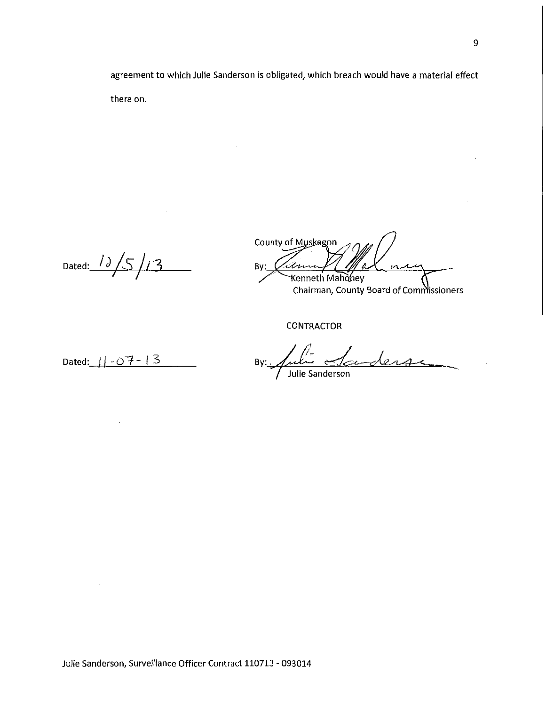agreement to which Julie Sanderson is obligated, which breach would have a material effect there on.

Dated: 12/5/13

County of Muskegon By: imm  $\mathfrak{a}$ Kenneth Mahoney Chairman, County Board of Commissioners

**CONTRACTOR** 

Dated:  $11 - 07 - 13$ 

By: Julie Sanderse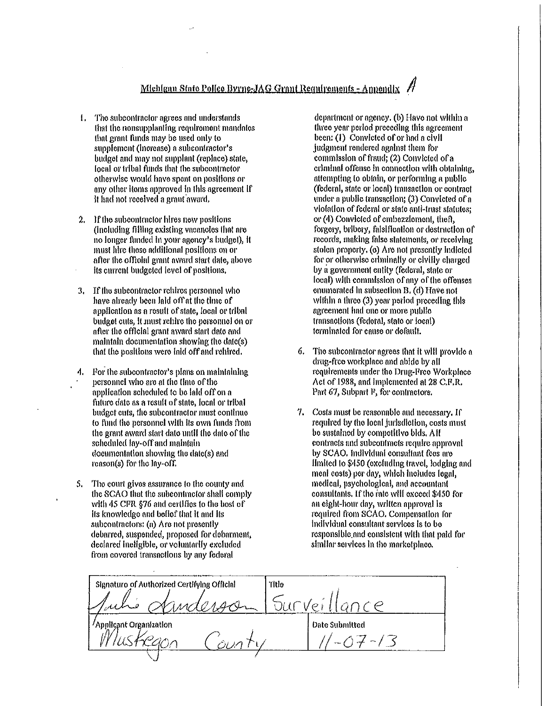- 1. The subcontractor agrees and understands that the nonsupplanting requirement mandates that grant funds may be used only to supplement (increase) a subcontractor's budget and may not supplant (replace) state, local or tribal funds that the subcontractor otherwise would have spent on positions or any other items approved in this agreement if It had not recolved a grant award.
- $\overline{2}$ . If the subcontractor hires new positions (including filling existing vacancles that are no longer funded in your agency's budget), it must hire these additional positions on or after the official grant award start date, above its current budgeted level of positions.
- If the subcontractor relatios personnel who  $3<sub>1</sub>$ have already been laid off at the time of application as a result of state, local or tribal budget cuts, it must rehire the personnel on or after the official grant award start date and maintain documentation showing the date(s) that the positions were laid off and rehired.
- For the subcontractor's plans on maintaining personnel who are at the time of the application scheduled to be laid off on a future date as a result of state, local or tribal budget cuts, the subcontractor must continue to fund the personnel with its own funds from the grant award start date until the date of the scheduled lay-off and maintain documentation showing the date(s) and reason(s) for the lay-off.
- The court gives assurance to the county and 5. the SCAO that the subcontractor shall comply with 45 CFR §76 and certifies to the bost of its knowledge and belief that it and its subcontractors: (a) Are not presently debarred, suspended, proposed for debarment, declared ineligible, or voluntarily excluded from covered transactions by any federal

department or agency. (b) Have not within a three year period preceding this agreement been: (1) Convicted of or had a civil judgment rendered against them for commission of fraud; (2) Convicted of a criminal offense in connection with obtaining, attempting to obtain, or performing a public (federal, state or local) transaction or contract under a public transaction; (3) Convicted of a violation of federal or state anti-trust statutes; or (4) Convicted of embezzioment, theft, forgery, bribery, faisification or destruction of records, making false statements, or receiving stolen property, (c) Are not presently Indicted for or otherwise criminally or civilly charged by a government entity (fedoral, state or local) with commission of any of the offenses enumerated in subsection B, (d) Have not within a three (3) year period preceding this agreement had one or more public transactions (federal, state or local) terminated for cause or default.

- 6. The subcontractor agrees that it will provide a drug-free workplace and abide by all requirements under the Drug-Pree Workplace Act of 1988, and implemented at 28 C.F.R. Part 67, Subpart F, for contractors.
- $\mathcal{T}$ Costs must be reasonable and necessary. If regulred by the local jurisdiction, costs must be sustained by competitive bids. All contracts and subcontracts require approval by SCAO. Individual consultant fees are limited to \$450 (excluding travel, lodging and meal costs) per day, which inefudes legal. medical, psychological, and accountant consultants. If the rate will exceed \$450 for an eight-hour day, written approval is required from SCAO. Compensation for individual consultant services is to be responsible and consistent with that paid for similar services in the marketplace.

Signaturo of Authorized Certifying Official Title Survei **Date Submitted** Applicant Organization  $1 - 07 - 13$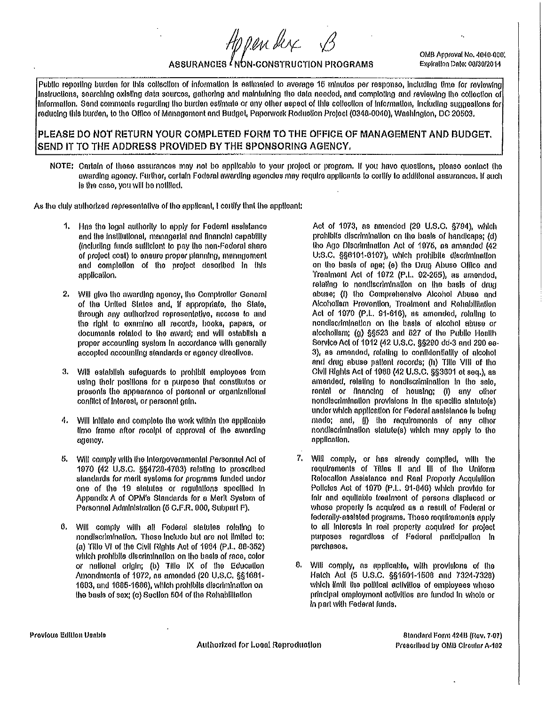ASSURANCES INON-CONSTRUCTION PROGRAMS

OMB Approval No. 4040-000. Explration Date: 00/30/2014

Publio reporting burden for this collection of information is estimated to average 15 minutos per responso, including time for reviewing Instructions, searching oxisting data sourcos, gathering and maintuining the data needed, and comploting and reviewing the collection of Information. Send comments regarding the burden estimate or any other aspect of this collection of information, including suggestions for reducing this burden, to the Office of Management and Budgel, Paperwork Roduciion Project (0348-0040), Washington, DC 20503,

Hppenber

## PLEASE DO NOT RETURN YOUR COMPLETED FORM TO THE OFFICE OF MANAGEMENT AND BUDGET. SEND IT TO THE ADDRESS PROVIDED BY THE SPONSORING AGENCY.

NOTE: Carlain of these assurances may not be applicable to your project or program. If you havo questions, picaso contact the awarding agency. Further, certain Foderal awarding agencies may require applicants to cortify to additional assurances. If such is the case, you will be notified.

As the duly authorized representative of the applicant, I certify that the applicant:

- Has the legal authority to apply for Federal assistance 1. and the institutional, managerial and financial capability (including funds sufficient to pay the non-Federal share of project cost) to ensure proper planning, managoment and completion of the protect described in this application.
- 2. Will give the awarding agency, the Comptroller General of the United States and, if appropriate, the State, through any authorized representative, access to and the right to examino all records, hooks, papers, or documents related to the award; and will establish a proper accounting system in accordance with generally accopied accounting standards or agency directives.
- Will establish safeguards to prohibit employees from 3. using their positions for a purpose that constitutes or prosents the appearance of personal or erganizational conflict of interest, or personal gain.
- Will initiate and complete the work within the applicable А. lime frame after receipt of approval of the awarding agency.
- Will comply with the Intergovernmental Personnel Act of 5. 1970 (42 U.S.C. §§4728-4763) relating to proscribed standards for merit systems for programs funded under one of the 19 statutes or regulations specified in Appondix A of OPM's Standards for a Merit System of Personnel Administration (6 C.F.R. 900, Subpart F).
- Will comply with all Federal statules relating to ٥. nondiscrimination. These include but are not limited to: (a) Title VI of the Civil Rights Act of 1984 (P.L. 88-352) which prohibits discrimination on the basis of race, color or national origin; (b) Title IX of the Education Amondments of 1972, as amended (20 U.S.C. §§1681-1683, and 1685-1686), which probibits discrimination on the basis of sex; (c) Section 504 of the Rehabilitation

Act of 1973, as amended (29 U.S.C. §794), which prohibits discrimination on the basis of handicaps; (d) tho Ago Discrimination Act of 1975, as amended (42 U:S.C. §§6101-6107), which prohibits discrimination on the basis of age; (e) the Drug Abuse Office and Trealment Act of 1972 (P.L. 92-265), as amendod, relating to nondiscrimination on the basis of drug abuse; (I) the Comprehensive Alcohol Abuse and Alcoholism Prevention, Treatment and Rehabilitation Act of 1970 (P.L. 91-616), as amended, relating to nondiscrimination on the basis of alcohol abuse or alcoholism: (g) \$\$523 and 627 of the Public Health Service Act of 1012 (42 U.S.C. §§290 dd-3 and 290 ee-3), as amended, relating to confidentiality of alcohol and drug abuse patient records; (h) Tille VIII of tho Clvil Rights Act of 1968 (42 U.S.C. §§3601 et seq.), as amended, relating to nondiscrimination in the sale. rental or financing of housing; (i) any other nondlscrimination provisions in the specific statuto(s) under which application for Federal assistance is being made; and, (J) the requiroments of any other nondlacrimination statute(s) which may apply to the application.

- 7. Will comply, or has already compiled, with the requirements of Titles it and ill of the Uniform Relocation Assistance and Real Property Acquisition Policies Act of 1970 (P.L. 91-646) which provide for fair and equitable treatment of persons displaced or whose properly is acquired as a result of Federal or fedcrally-assisted programs. These requirements apply to all interests in real property acquired for protect purposes regardless of Federal participation in purchases.
- 8. Will comply, as applicable, with provisions of the Hatch Act (5 U.S.C. §§1501-1508 and 7324-7328) which limit the political activities of employees whoso principal employment activities are funded in whole or In part with Federal funds.

Authorized for Local Reproduction

Standard Form 424B (Rev. 7-07) Prescribed by OMB Circular A-102